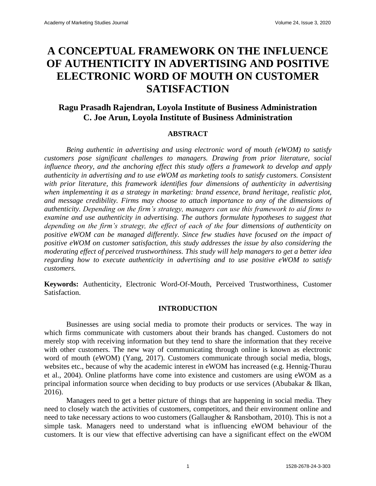# **A CONCEPTUAL FRAMEWORK ON THE INFLUENCE OF AUTHENTICITY IN ADVERTISING AND POSITIVE ELECTRONIC WORD OF MOUTH ON CUSTOMER SATISFACTION**

## **Ragu Prasadh Rajendran, Loyola Institute of Business Administration C. Joe Arun, Loyola Institute of Business Administration**

#### **ABSTRACT**

*Being authentic in advertising and using electronic word of mouth (eWOM) to satisfy customers pose significant challenges to managers. Drawing from prior literature, social influence theory, and the anchoring effect this study offers a framework to develop and apply authenticity in advertising and to use eWOM as marketing tools to satisfy customers. Consistent with prior literature, this framework identifies four dimensions of authenticity in advertising when implementing it as a strategy in marketing: brand essence, brand heritage, realistic plot, and message credibility. Firms may choose to attach importance to any of the dimensions of authenticity. Depending on the firm's strategy, managers can use this framework to aid firms to examine and use authenticity in advertising. The authors formulate hypotheses to suggest that depending on the firm's strategy, the effect of each of the four dimensions of authenticity on positive eWOM can be managed differently. Since few studies have focused on the impact of positive eWOM on customer satisfaction, this study addresses the issue by also considering the moderating effect of perceived trustworthiness. This study will help managers to get a better idea regarding how to execute authenticity in advertising and to use positive eWOM to satisfy customers.*

**Keywords:** Authenticity, Electronic Word-Of-Mouth, Perceived Trustworthiness, Customer Satisfaction.

#### **INTRODUCTION**

Businesses are using social media to promote their products or services. The way in which firms communicate with customers about their brands has changed. Customers do not merely stop with receiving information but they tend to share the information that they receive with other customers. The new way of communicating through online is known as electronic word of mouth (eWOM) (Yang, 2017). Customers communicate through social media, blogs, websites etc., because of why the academic interest in eWOM has increased (e.g. [Hennig-Thurau](https://www.ncbi.nlm.nih.gov/pmc/articles/PMC5524892/#B11)  [et al.,](https://www.ncbi.nlm.nih.gov/pmc/articles/PMC5524892/#B11) 2004). Online platforms have come into existence and customers are using eWOM as a principal information source when deciding to buy products or use services [\(Abubakar &](https://www.ncbi.nlm.nih.gov/pmc/articles/PMC5524892/#B1) Ilkan, [2016\)](https://www.ncbi.nlm.nih.gov/pmc/articles/PMC5524892/#B1).

Managers need to get a better picture of things that are happening in social media. They need to closely watch the activities of customers, competitors, and their environment online and need to take necessary actions to woo customers (Gallaugher & Ransbotham, 2010). This is not a simple task. Managers need to understand what is influencing eWOM behaviour of the customers. It is our view that effective advertising can have a significant effect on the eWOM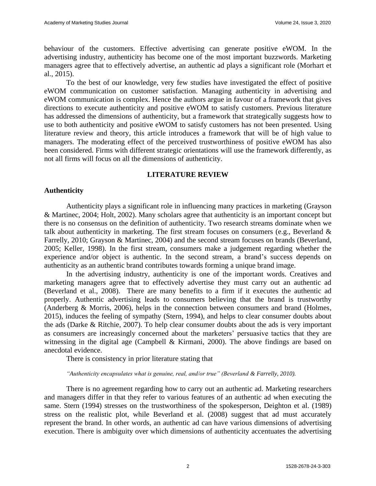behaviour of the customers. Effective advertising can generate positive eWOM. In the advertising industry, authenticity has become one of the most important buzzwords. Marketing managers agree that to effectively advertise, an authentic ad plays a significant role (Morhart et al., 2015).

To the best of our knowledge, very few studies have investigated the effect of positive eWOM communication on customer satisfaction. Managing authenticity in advertising and eWOM communication is complex. Hence the authors argue in favour of a framework that gives directions to execute authenticity and positive eWOM to satisfy customers. Previous literature has addressed the dimensions of authenticity, but a framework that strategically suggests how to use to both authenticity and positive eWOM to satisfy customers has not been presented. Using literature review and theory, this article introduces a framework that will be of high value to managers. The moderating effect of the perceived trustworthiness of positive eWOM has also been considered. Firms with different strategic orientations will use the framework differently, as not all firms will focus on all the dimensions of authenticity.

#### **LITERATURE REVIEW**

## **Authenticity**

Authenticity plays a significant role in influencing many practices in marketing (Grayson & Martinec, 2004; Holt, 2002). Many scholars agree that authenticity is an important concept but there is no consensus on the definition of authenticity. Two research streams dominate when we talk about authenticity in marketing. The first stream focuses on consumers (e.g., Beverland & Farrelly, 2010; Grayson & Martinec, 2004) and the second stream focuses on brands (Beverland, 2005; Keller, 1998). In the first stream, consumers make a judgement regarding whether the experience and/or object is authentic. In the second stream, a brand's success depends on authenticity as an authentic brand contributes towards forming a unique brand image.

In the advertising industry, authenticity is one of the important words. Creatives and marketing managers agree that to effectively advertise they must carry out an authentic ad (Beverland et al., 2008). There are many benefits to a firm if it executes the authentic ad properly. Authentic advertising leads to consumers believing that the brand is trustworthy (Anderberg & Morris, 2006), helps in the connection between consumers and brand (Holmes, 2015), induces the feeling of sympathy (Stern, 1994), and helps to clear consumer doubts about the ads (Darke & Ritchie, 2007). To help clear consumer doubts about the ads is very important as consumers are increasingly concerned about the marketers' persuasive tactics that they are witnessing in the digital age (Campbell & Kirmani, 2000). The above findings are based on anecdotal evidence.

There is consistency in prior literature stating that

*"Authenticity encapsulates what is genuine, real, and/or true" (Beverland & Farrelly, 2010).* 

There is no agreement regarding how to carry out an authentic ad. Marketing researchers and managers differ in that they refer to various features of an authentic ad when executing the same. Stern (1994) stresses on the trustworthiness of the spokesperson, Deighton et al. (1989) stress on the realistic plot, while Beverland et al. (2008) suggest that ad must accurately represent the brand. In other words, an authentic ad can have various dimensions of advertising execution. There is ambiguity over which dimensions of authenticity accentuates the advertising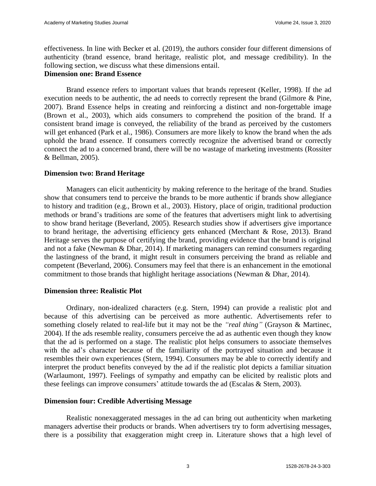effectiveness. In line with Becker et al. (2019), the authors consider four different dimensions of authenticity (brand essence, brand heritage, realistic plot, and message credibility). In the following section, we discuss what these dimensions entail.

## **Dimension one: Brand Essence**

Brand essence refers to important values that brands represent (Keller, 1998). If the ad execution needs to be authentic, the ad needs to correctly represent the brand (Gilmore & Pine, 2007). Brand Essence helps in creating and reinforcing a distinct and non-forgettable image (Brown et al., 2003), which aids consumers to comprehend the position of the brand. If a consistent brand image is conveyed, the reliability of the brand as perceived by the customers will get enhanced (Park et al., 1986). Consumers are more likely to know the brand when the ads uphold the brand essence. If consumers correctly recognize the advertised brand or correctly connect the ad to a concerned brand, there will be no wastage of marketing investments (Rossiter & Bellman, 2005).

## **Dimension two: Brand Heritage**

Managers can elicit authenticity by making reference to the heritage of the brand. Studies show that consumers tend to perceive the brands to be more authentic if brands show allegiance to history and tradition (e.g., Brown et al., 2003). History, place of origin, traditional production methods or brand's traditions are some of the features that advertisers might link to advertising to show brand heritage (Beverland, 2005). Research studies show if advertisers give importance to brand heritage, the advertising efficiency gets enhanced (Merchant & Rose, 2013). Brand Heritage serves the purpose of certifying the brand, providing evidence that the brand is original and not a fake (Newman & Dhar, 2014). If marketing managers can remind consumers regarding the lastingness of the brand, it might result in consumers perceiving the brand as reliable and competent (Beverland, 2006). Consumers may feel that there is an enhancement in the emotional commitment to those brands that highlight heritage associations (Newman & Dhar, 2014).

## **Dimension three: Realistic Plot**

Ordinary, non-idealized characters (e.g. Stern, 1994) can provide a realistic plot and because of this advertising can be perceived as more authentic. Advertisements refer to something closely related to real-life but it may not be the *"real thing"* (Grayson & Martinec, 2004). If the ads resemble reality, consumers perceive the ad as authentic even though they know that the ad is performed on a stage. The realistic plot helps consumers to associate themselves with the ad's character because of the familiarity of the portrayed situation and because it resembles their own experiences (Stern, 1994). Consumers may be able to correctly identify and interpret the product benefits conveyed by the ad if the realistic plot depicts a familiar situation (Warlaumont, 1997). Feelings of sympathy and empathy can be elicited by realistic plots and these feelings can improve consumers' attitude towards the ad (Escalas & Stern, 2003).

## **Dimension four: Credible Advertising Message**

Realistic nonexaggerated messages in the ad can bring out authenticity when marketing managers advertise their products or brands. When advertisers try to form advertising messages, there is a possibility that exaggeration might creep in. Literature shows that a high level of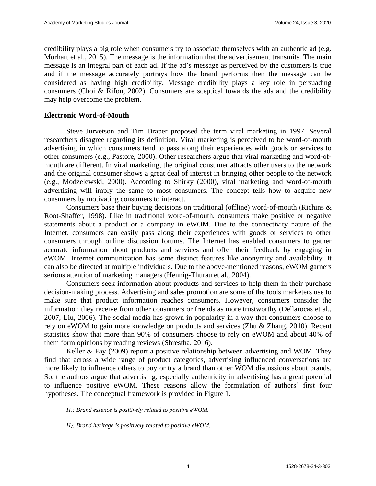credibility plays a big role when consumers try to associate themselves with an authentic ad (e.g. Morhart et al., 2015). The message is the information that the advertisement transmits. The main message is an integral part of each ad. If the ad's message as perceived by the customers is true and if the message accurately portrays how the brand performs then the message can be considered as having high credibility. Message credibility plays a key role in persuading consumers (Choi & Rifon, 2002). Consumers are sceptical towards the ads and the credibility may help overcome the problem.

#### **Electronic Word-of-Mouth**

Steve Jurvetson and Tim Draper proposed the term viral marketing in 1997. Several researchers disagree regarding its definition. Viral marketing is perceived to be word-of-mouth advertising in which consumers tend to pass along their experiences with goods or services to other consumers (e.g., Pastore, 2000). Other researchers argue that viral marketing and word-ofmouth are different. In viral marketing, the original consumer attracts other users to the network and the original consumer shows a great deal of interest in bringing other people to the network (e.g., Modzelewski, 2000). According to Shirky (2000), viral marketing and word-of-mouth advertising will imply the same to most consumers. The concept tells how to acquire new consumers by motivating consumers to interact.

Consumers base their buying decisions on traditional (offline) word-of-mouth (Richins & Root-Shaffer, 1998). Like in traditional word-of-mouth, consumers make positive or negative statements about a product or a company in eWOM. Due to the connectivity nature of the Internet, consumers can easily pass along their experiences with goods or services to other consumers through online discussion forums. The Internet has enabled consumers to gather accurate information about products and services and offer their feedback by engaging in eWOM. Internet communication has some distinct features like anonymity and availability. It can also be directed at multiple individuals. Due to the above-mentioned reasons, eWOM garners serious attention of marketing managers (Hennig-Thurau et al., [2004\)](https://www.tandfonline.com/doi/full/10.1080/15252019.2017.1366885).

Consumers seek information about products and services to help them in their purchase decision-making process. Advertising and sales promotion are some of the tools marketers use to make sure that product information reaches consumers. However, consumers consider the information they receive from other consumers or friends as more trustworthy (Dellarocas et al., 2007; Liu, 2006). The social media has grown in popularity in a way that consumers choose to rely on eWOM to gain more knowledge on products and services (Zhu & Zhang, 2010). Recent statistics show that more than 90% of consumers choose to rely on eWOM and about 40% of them form opinions by reading reviews (Shrestha, 2016).

Keller & Fay (2009) report a positive relationship between advertising and WOM. They find that across a wide range of product categories, advertising influenced conversations are more likely to influence others to buy or try a brand than other WOM discussions about brands. So, the authors argue that advertising, especially authenticity in advertising has a great potential to influence positive eWOM. These reasons allow the formulation of authors' first four hypotheses. The conceptual framework is provided in Figure 1.

*H1: Brand essence is positively related to positive eWOM.*

*H2: Brand heritage is positively related to positive eWOM.*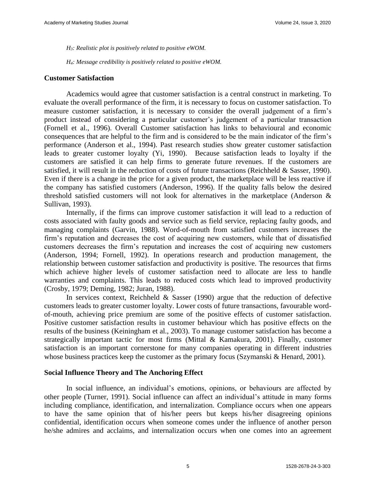*H3: Realistic plot is positively related to positive eWOM.*

*H4: Message credibility is positively related to positive eWOM.*

#### **Customer Satisfaction**

Academics would agree that customer satisfaction is a central construct in marketing. To evaluate the overall performance of the firm, it is necessary to focus on customer satisfaction. To measure customer satisfaction, it is necessary to consider the overall judgement of a firm's product instead of considering a particular customer's judgement of a particular transaction (Fornell et al., 1996). Overall Customer satisfaction has links to behavioural and economic consequences that are helpful to the firm and is considered to be the main indicator of the firm's performance (Anderson et al., 1994). Past research studies show greater customer satisfaction leads to greater customer loyalty (Yi, 1990). Because satisfaction leads to loyalty if the customers are satisfied it can help firms to generate future revenues. If the customers are satisfied, it will result in the reduction of costs of future transactions (Reichheld & Sasser, 1990). Even if there is a change in the price for a given product, the marketplace will be less reactive if the company has satisfied customers (Anderson, 1996). If the quality falls below the desired threshold satisfied customers will not look for alternatives in the marketplace (Anderson & Sullivan, 1993).

Internally, if the firms can improve customer satisfaction it will lead to a reduction of costs associated with faulty goods and service such as field service, replacing faulty goods, and managing complaints (Garvin, 1988). Word-of-mouth from satisfied customers increases the firm's reputation and decreases the cost of acquiring new customers, while that of dissatisfied customers decreases the firm's reputation and increases the cost of acquiring new customers (Anderson, 1994; Fornell, 1992). In operations research and production management, the relationship between customer satisfaction and productivity is positive. The resources that firms which achieve higher levels of customer satisfaction need to allocate are less to handle warranties and complaints. This leads to reduced costs which lead to improved productivity (Crosby, 1979; Deming, 1982; Juran, 1988).

In services context, Reichheld  $\&$  Sasser (1990) argue that the reduction of defective customers leads to greater customer loyalty. Lower costs of future transactions, favourable wordof-mouth, achieving price premium are some of the positive effects of customer satisfaction. Positive customer satisfaction results in customer behaviour which has positive effects on the results of the business (Keiningham et al., 2003). To manage customer satisfaction has become a strategically important tactic for most firms (Mittal & Kamakura, 2001). Finally, customer satisfaction is an important cornerstone for many companies operating in different industries whose business practices keep the customer as the primary focus (Szymanski & Henard, 2001).

#### **Social Influence Theory and The Anchoring Effect**

In social influence, an individual's emotions, opinions, or behaviours are affected by other people (Turner, 1991). Social influence can affect an individual's attitude in many forms including compliance, identification, and internalization. Compliance occurs when one appears to have the same opinion that of his/her peers but keeps his/her disagreeing opinions confidential, identification occurs when someone comes under the influence of another person he/she admires and acclaims, and internalization occurs when one comes into an agreement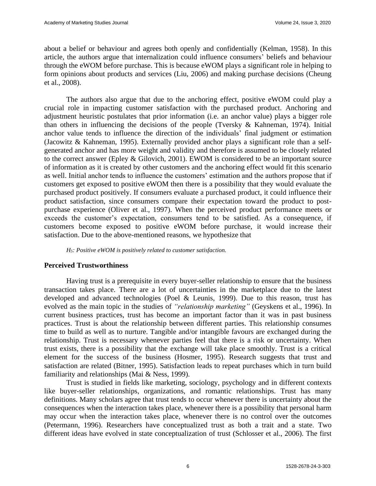about a belief or behaviour and agrees both openly and confidentially (Kelman, 1958). In this article, the authors argue that internalization could influence consumers' beliefs and behaviour through the eWOM before purchase. This is because eWOM plays a significant role in helping to form opinions about products and services (Liu, 2006) and making purchase decisions (Cheung et al., 2008).

The authors also argue that due to the anchoring effect, positive eWOM could play a crucial role in impacting customer satisfaction with the purchased product. Anchoring and adjustment heuristic postulates that prior information (i.e. an anchor value) plays a bigger role than others in influencing the decisions of the people (Tversky & Kahneman, 1974). Initial anchor value tends to influence the direction of the individuals' final judgment or estimation (Jacowitz & Kahneman, 1995). Externally provided anchor plays a significant role than a selfgenerated anchor and has more weight and validity and therefore is assumed to be closely related to the correct answer (Epley & Gilovich, 2001). EWOM is considered to be an important source of information as it is created by other customers and the anchoring effect would fit this scenario as well. Initial anchor tends to influence the customers' estimation and the authors propose that if customers get exposed to positive eWOM then there is a possibility that they would evaluate the purchased product positively. If consumers evaluate a purchased product, it could influence their product satisfaction, since consumers compare their expectation toward the product to postpurchase experience (Oliver et al., 1997). When the perceived product performance meets or exceeds the customer's expectation, consumers tend to be satisfied. As a consequence, if customers become exposed to positive eWOM before purchase, it would increase their satisfaction. Due to the above-mentioned reasons, we hypothesize that

*H5: Positive eWOM is positively related to customer satisfaction.* 

## **Perceived Trustworthiness**

Having trust is a prerequisite in every buyer-seller relationship to ensure that the business transaction takes place. There are a lot of uncertainties in the marketplace due to the latest developed and advanced technologies (Poel & Leunis, 1999). Due to this reason, trust has evolved as the main topic in the studies of *"relationship marketing"* (Geyskens et al., 1996). In current business practices, trust has become an important factor than it was in past business practices. Trust is about the relationship between different parties. This relationship consumes time to build as well as to nurture. Tangible and/or intangible favours are exchanged during the relationship. Trust is necessary whenever parties feel that there is a risk or uncertainty. When trust exists, there is a possibility that the exchange will take place smoothly. Trust is a critical element for the success of the business (Hosmer, 1995). Research suggests that trust and satisfaction are related (Bitner, 1995). Satisfaction leads to repeat purchases which in turn build familiarity and relationships (Mai & Ness, 1999).

Trust is studied in fields like marketing, sociology, psychology and in different contexts like buyer-seller relationships, organizations, and romantic relationships. Trust has many definitions. Many scholars agree that trust tends to occur whenever there is uncertainty about the consequences when the interaction takes place, whenever there is a possibility that personal harm may occur when the interaction takes place, whenever there is no control over the outcomes (Petermann, 1996). Researchers have conceptualized trust as both a trait and a state. Two different ideas have evolved in state conceptualization of trust (Schlosser et al., 2006). The first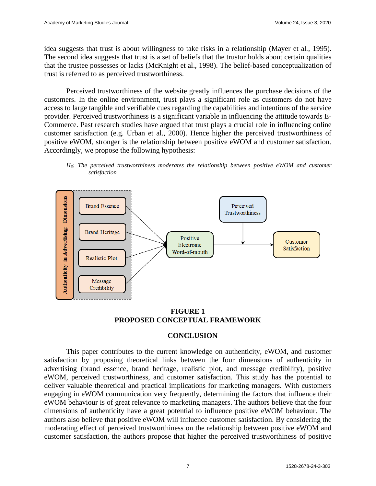idea suggests that trust is about willingness to take risks in a relationship (Mayer et al*.*, 1995). The second idea suggests that trust is a set of beliefs that the trustor holds about certain qualities that the trustee possesses or lacks (McKnight et al., 1998). The belief-based conceptualization of trust is referred to as perceived trustworthiness.

Perceived trustworthiness of the website greatly influences the purchase decisions of the customers. In the online environment, trust plays a significant role as customers do not have access to large tangible and verifiable cues regarding the capabilities and intentions of the service provider. Perceived trustworthiness is a significant variable in influencing the attitude towards E-Commerce. Past research studies have argued that trust plays a crucial role in influencing online customer satisfaction (e.g. Urban et al., 2000). Hence higher the perceived trustworthiness of positive eWOM, stronger is the relationship between positive eWOM and customer satisfaction. Accordingly, we propose the following hypothesis:



*H6: The perceived trustworthiness moderates the relationship between positive eWOM and customer satisfaction* 

**FIGURE 1 PROPOSED CONCEPTUAL FRAMEWORK**

## **CONCLUSION**

This paper contributes to the current knowledge on authenticity, eWOM, and customer satisfaction by proposing theoretical links between the four dimensions of authenticity in advertising (brand essence, brand heritage, realistic plot, and message credibility), positive eWOM, perceived trustworthiness, and customer satisfaction. This study has the potential to deliver valuable theoretical and practical implications for marketing managers. With customers engaging in eWOM communication very frequently, determining the factors that influence their eWOM behaviour is of great relevance to marketing managers. The authors believe that the four dimensions of authenticity have a great potential to influence positive eWOM behaviour. The authors also believe that positive eWOM will influence customer satisfaction. By considering the moderating effect of perceived trustworthiness on the relationship between positive eWOM and customer satisfaction, the authors propose that higher the perceived trustworthiness of positive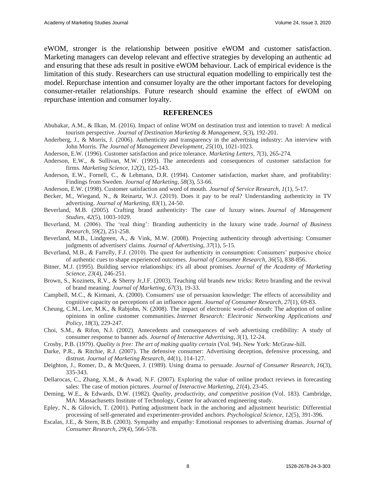eWOM, stronger is the relationship between positive eWOM and customer satisfaction. Marketing managers can develop relevant and effective strategies by developing an authentic ad and ensuring that these ads result in positive eWOM behaviour. Lack of empirical evidence is the limitation of this study. Researchers can use structural equation modelling to empirically test the model. Repurchase intention and consumer loyalty are the other important factors for developing consumer-retailer relationships. Future research should examine the effect of eWOM on repurchase intention and consumer loyalty.

#### **REFERENCES**

- Abubakar, A.M., & Ilkan, M. (2016). Impact of online WOM on destination trust and intention to travel: A medical tourism perspective. *Journal of Destination Marketing & Management*, *5*(3), 192-201.
- Anderberg, J., & Morris, J. (2006). Authenticity and transparency in the advertising industry: An interview with John Morris. *The Journal of Management Development*, *25*(10), 1021-1023.
- Anderson, E.W. (1996). Customer satisfaction and price tolerance. *Marketing Letters*, *7*(3), 265-274.
- Anderson, E.W., & Sullivan, M.W. (1993). The antecedents and consequences of customer satisfaction for firms. *Marketing Science*, *12*(2), 125-143.
- Anderson, E.W., Fornell, C., & Lehmann, D.R. (1994). Customer satisfaction, market share, and profitability: Findings from Sweden. *Journal of Marketing*, *58*(3), 53-66.
- Anderson, E.W. (1998). Customer satisfaction and word of mouth. *Journal of Service Research*, *1*(1), 5-17.
- Becker, M., Wiegand, N., & Reinartz, W.J. (2019). Does it pay to be real? Understanding authenticity in TV advertising. *Journal of Marketing*, *83*(1), 24-50.
- Beverland, M.B. (2005). Crafting brand authenticity: The case of luxury wines. *Journal of Management Studies*, *42*(5), 1003-1029.
- Beverland, M. (2006). The 'real thing': Branding authenticity in the luxury wine trade. *Journal of Business Research*, *59*(2), 251-258.
- Beverland, M.B., Lindgreen, A., & Vink, M.W. (2008). Projecting authenticity through advertising: Consumer judgments of advertisers' claims. *Journal of Advertising*, *37*(1), 5-15.
- Beverland, M.B., & Farrelly, F.J. (2010). The quest for authenticity in consumption: Consumers' purposive choice of authentic cues to shape experienced outcomes. *Journal of Consumer Research*, *36*(5), 838-856.
- Bitner, M.J. (1995). Building service relationships: it's all about promises. *Journal of the Academy of Marketing Science*, *23*(4), 246-251.
- Brown, S., Kozinets, R.V., & Sherry Jr,J.F. (2003). Teaching old brands new tricks: Retro branding and the revival of brand meaning. *Journal of Marketing*, *67*(3), 19-33.
- Campbell, M.C., & Kirmani, A. (2000). Consumers' use of persuasion knowledge: The effects of accessibility and cognitive capacity on perceptions of an influence agent. *Journal of Consumer Research*, *27*(1), 69-83.
- Cheung, C.M., Lee, M.K., & Rabjohn, N. (2008). The impact of electronic word-of-mouth: The adoption of online opinions in online customer communities. *Internet Research: Electronic Networking Applications and Policy*, *18*(3), 229-247.
- Choi, S.M., & Rifon, N.J. (2002). Antecedents and consequences of web advertising credibility: A study of consumer response to banner ads. *Journal of Interactive Advertising*, *3*(1), 12-24.
- Crosby, P.B. (1979). *Quality is free: The art of making quality certain* (Vol. 94). New York: McGraw-hill.
- Darke, P.R., & Ritchie, R.J. (2007). The defensive consumer: Advertising deception, defensive processing, and distrust. *Journal of Marketing Research*, *44*(1), 114-127.
- Deighton, J., Romer, D., & McQueen, J. (1989). Using drama to persuade. *Journal of Consumer Research*, *16*(3), 335-343.
- Dellarocas, C., Zhang, X.M., & Awad, N.F. (2007). Exploring the value of online product reviews in forecasting sales: The case of motion pictures. *Journal of Interactive Marketing*, *21*(4), 23-45.
- Deming, W.E., & Edwards, D.W. (1982). *Quality, productivity, and competitive position* (Vol. 183). Cambridge, MA: Massachusetts Institute of Technology, Center for advanced engineering study.
- Epley, N., & Gilovich, T. (2001). Putting adjustment back in the anchoring and adjustment heuristic: Differential processing of self-generated and experimenter-provided anchors. *Psychological Science*, *12*(5), 391-396.
- Escalas, J.E., & Stern, B.B. (2003). Sympathy and empathy: Emotional responses to advertising dramas. *Journal of Consumer Research*, *29*(4), 566-578.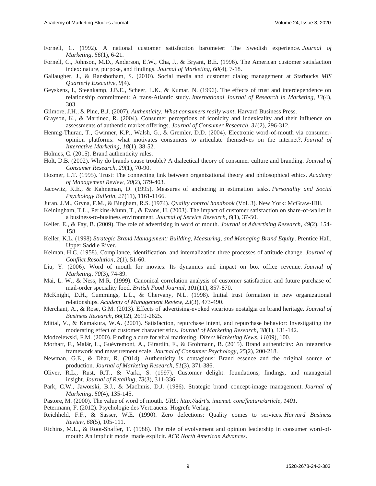- Fornell, C. (1992). A national customer satisfaction barometer: The Swedish experience. *Journal of Marketing*, *56*(1), 6-21.
- Fornell, C., Johnson, M.D., Anderson, E.W., Cha, J., & Bryant, B.E. (1996). The American customer satisfaction index: nature, purpose, and findings. *Journal of Marketing*, *60*(4), 7-18.
- Gallaugher, J., & Ransbotham, S. (2010). Social media and customer dialog management at Starbucks. *MIS Quarterly Executive*, *9*(4).
- Geyskens, I., Steenkamp, J.B.E., Scheer, L.K., & Kumar, N. (1996). The effects of trust and interdependence on relationship commitment: A trans-Atlantic study. *International Journal of Research in Marketing*, *13*(4), 303.
- Gilmore, J.H., & Pine, B.J. (2007). *Authenticity: What consumers really want*. Harvard Business Press.
- Grayson, K., & Martinec, R. (2004). Consumer perceptions of iconicity and indexicality and their influence on assessments of authentic market offerings. *Journal of Consumer Research*, *31*(2), 296-312.
- Hennig-Thurau, T., Gwinner, K.P., Walsh, G., & Gremler, D.D. (2004). Electronic word-of-mouth via consumeropinion platforms: what motivates consumers to articulate themselves on the internet?. *Journal of Interactive Marketing*, *18*(1), 38-52.
- Holmes, C. (2015). Brand authenticity rules.
- Holt, D.B. (2002). Why do brands cause trouble? A dialectical theory of consumer culture and branding. *Journal of Consumer Research*, *29*(1), 70-90.
- Hosmer, L.T. (1995). Trust: The connecting link between organizational theory and philosophical ethics. *Academy of Management Review, 20*(2), 379-403.
- Jacowitz, K.E., & Kahneman, D. (1995). Measures of anchoring in estimation tasks. *Personality and Social Psychology Bulletin*, *21*(11), 1161-1166.
- Juran, J.M., Gryna, F.M., & Bingham, R.S. (1974). *Quality control handbook* (Vol. 3). New York: McGraw-Hill.
- Keiningham, T.L., Perkins-Munn, T., & Evans, H. (2003). The impact of customer satisfaction on share-of-wallet in a business-to-business environment. *Journal of Service Research*, *6*(1), 37-50.
- Keller, E., & Fay, B. (2009). The role of advertising in word of mouth. *Journal of Advertising Research*, *49*(2), 154- 158.
- Keller, K.L. (1998) *Strategic Brand Management: Building, Measuring, and Managing Brand Equity*. Prentice Hall, Upper Saddle River.
- Kelman, H.C. (1958). Compliance, identification, and internalization three processes of attitude change. *Journal of Conflict Resolution*, *2*(1), 51-60.
- Liu, Y. (2006). Word of mouth for movies: Its dynamics and impact on box office revenue. *Journal of Marketing*, *70*(3), 74-89.
- Mai, L. W., & Ness, M.R. (1999). Canonical correlation analysis of customer satisfaction and future purchase of mail-order speciality food. *British Food Journal*, *101*(11), 857-870.
- McKnight, D.H., Cummings, L.L., & Chervany, N.L. (1998). Initial trust formation in new organizational relationships. *Academy of Management Review*, *23*(3), 473-490.
- Merchant, A., & Rose, G.M. (2013). Effects of advertising-evoked vicarious nostalgia on brand heritage. *Journal of Business Research*, *66*(12), 2619-2625.
- Mittal, V., & Kamakura, W.A. (2001). Satisfaction, repurchase intent, and repurchase behavior: Investigating the moderating effect of customer characteristics. *Journal of Marketing Research*, *38*(1), 131-142.
- Modzelewski, F.M. (2000). Finding a cure for viral marketing. *Direct Marketing News*, *11*(09), 100.
- Morhart, F., Malär, L., Guèvremont, A., Girardin, F., & Grohmann, B. (2015). Brand authenticity: An integrative framework and measurement scale. *Journal of Consumer Psychology*, *25*(2), 200-218.
- Newman, G.E., & Dhar, R. (2014). Authenticity is contagious: Brand essence and the original source of production. *Journal of Marketing Research*, *51*(3), 371-386.
- Oliver, R.L., Rust, R.T., & Varki, S. (1997). Customer delight: foundations, findings, and managerial insight. *Journal of Retailing*, *73*(3), 311-336.
- Park, C.W., Jaworski, B.J., & MacInnis, D.J. (1986). Strategic brand concept-image management. *Journal of Marketing*, *50*(4), 135-145.
- Pastore, M. (2000). The value of word of mouth. *URL: http://adrt's. intemet. com/feature/article*, *1401*.
- Petermann, F. (2012). Psychologie des Vertrauens. Hogrefe Verlag.
- Reichheld, F.F., & Sasser, W.E. (1990). Zero defections: Quality comes to services. *Harvard Business Review*, *68*(5), 105-111.
- Richins, M.L., & Root-Shaffer, T. (1988). The role of evolvement and opinion leadership in consumer word-ofmouth: An implicit model made explicit. *ACR North American Advances*.